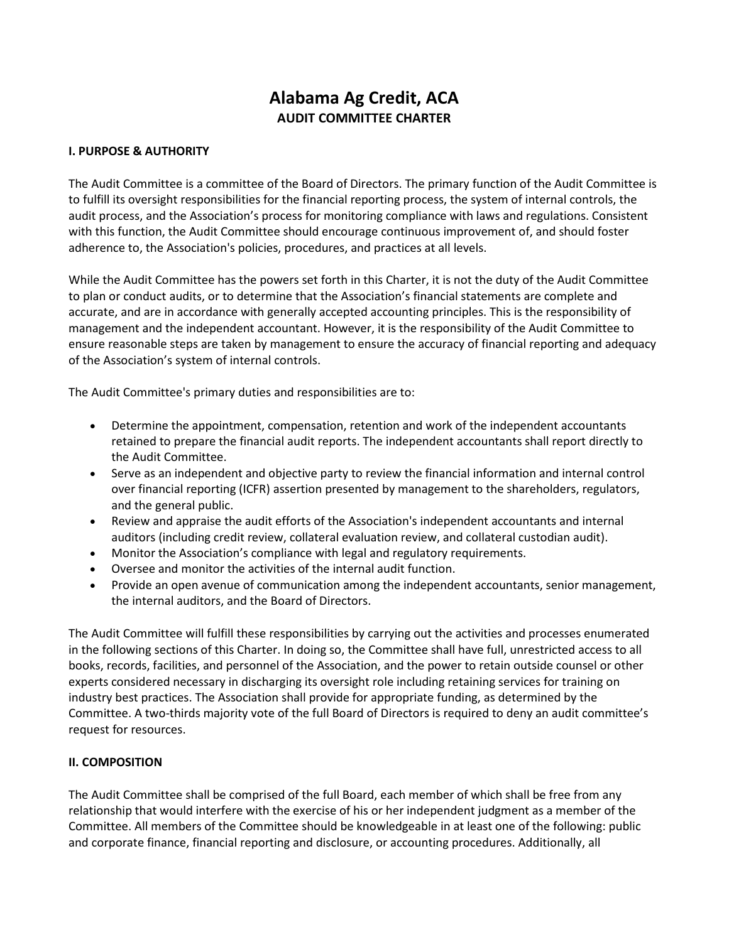# **Alabama Ag Credit, ACA AUDIT COMMITTEE CHARTER**

## **I. PURPOSE & AUTHORITY**

The Audit Committee is a committee of the Board of Directors. The primary function of the Audit Committee is to fulfill its oversight responsibilities for the financial reporting process, the system of internal controls, the audit process, and the Association's process for monitoring compliance with laws and regulations. Consistent with this function, the Audit Committee should encourage continuous improvement of, and should foster adherence to, the Association's policies, procedures, and practices at all levels.

While the Audit Committee has the powers set forth in this Charter, it is not the duty of the Audit Committee to plan or conduct audits, or to determine that the Association's financial statements are complete and accurate, and are in accordance with generally accepted accounting principles. This is the responsibility of management and the independent accountant. However, it is the responsibility of the Audit Committee to ensure reasonable steps are taken by management to ensure the accuracy of financial reporting and adequacy of the Association's system of internal controls.

The Audit Committee's primary duties and responsibilities are to:

- Determine the appointment, compensation, retention and work of the independent accountants retained to prepare the financial audit reports. The independent accountants shall report directly to the Audit Committee.
- Serve as an independent and objective party to review the financial information and internal control over financial reporting (ICFR) assertion presented by management to the shareholders, regulators, and the general public.
- Review and appraise the audit efforts of the Association's independent accountants and internal auditors (including credit review, collateral evaluation review, and collateral custodian audit).
- Monitor the Association's compliance with legal and regulatory requirements.
- Oversee and monitor the activities of the internal audit function.
- Provide an open avenue of communication among the independent accountants, senior management, the internal auditors, and the Board of Directors.

The Audit Committee will fulfill these responsibilities by carrying out the activities and processes enumerated in the following sections of this Charter. In doing so, the Committee shall have full, unrestricted access to all books, records, facilities, and personnel of the Association, and the power to retain outside counsel or other experts considered necessary in discharging its oversight role including retaining services for training on industry best practices. The Association shall provide for appropriate funding, as determined by the Committee. A two-thirds majority vote of the full Board of Directors is required to deny an audit committee's request for resources.

## **II. COMPOSITION**

The Audit Committee shall be comprised of the full Board, each member of which shall be free from any relationship that would interfere with the exercise of his or her independent judgment as a member of the Committee. All members of the Committee should be knowledgeable in at least one of the following: public and corporate finance, financial reporting and disclosure, or accounting procedures. Additionally, all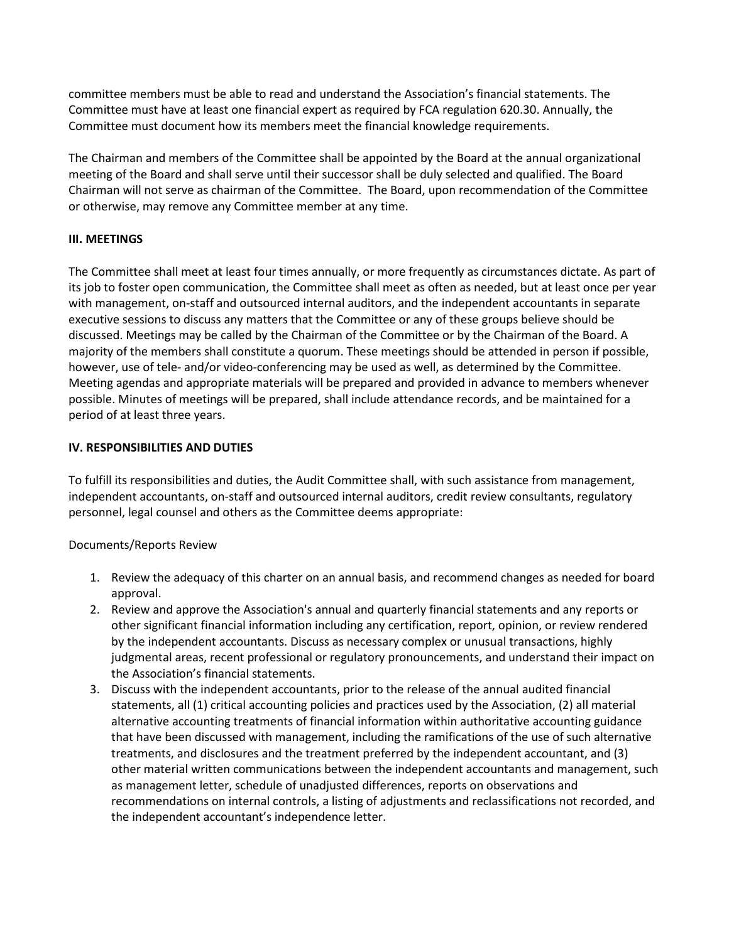committee members must be able to read and understand the Association's financial statements. The Committee must have at least one financial expert as required by FCA regulation 620.30. Annually, the Committee must document how its members meet the financial knowledge requirements.

The Chairman and members of the Committee shall be appointed by the Board at the annual organizational meeting of the Board and shall serve until their successor shall be duly selected and qualified. The Board Chairman will not serve as chairman of the Committee. The Board, upon recommendation of the Committee or otherwise, may remove any Committee member at any time.

## **III. MEETINGS**

The Committee shall meet at least four times annually, or more frequently as circumstances dictate. As part of its job to foster open communication, the Committee shall meet as often as needed, but at least once per year with management, on-staff and outsourced internal auditors, and the independent accountants in separate executive sessions to discuss any matters that the Committee or any of these groups believe should be discussed. Meetings may be called by the Chairman of the Committee or by the Chairman of the Board. A majority of the members shall constitute a quorum. These meetings should be attended in person if possible, however, use of tele- and/or video-conferencing may be used as well, as determined by the Committee. Meeting agendas and appropriate materials will be prepared and provided in advance to members whenever possible. Minutes of meetings will be prepared, shall include attendance records, and be maintained for a period of at least three years.

## **IV. RESPONSIBILITIES AND DUTIES**

To fulfill its responsibilities and duties, the Audit Committee shall, with such assistance from management, independent accountants, on-staff and outsourced internal auditors, credit review consultants, regulatory personnel, legal counsel and others as the Committee deems appropriate:

## Documents/Reports Review

- 1. Review the adequacy of this charter on an annual basis, and recommend changes as needed for board approval.
- 2. Review and approve the Association's annual and quarterly financial statements and any reports or other significant financial information including any certification, report, opinion, or review rendered by the independent accountants. Discuss as necessary complex or unusual transactions, highly judgmental areas, recent professional or regulatory pronouncements, and understand their impact on the Association's financial statements.
- 3. Discuss with the independent accountants, prior to the release of the annual audited financial statements, all (1) critical accounting policies and practices used by the Association, (2) all material alternative accounting treatments of financial information within authoritative accounting guidance that have been discussed with management, including the ramifications of the use of such alternative treatments, and disclosures and the treatment preferred by the independent accountant, and (3) other material written communications between the independent accountants and management, such as management letter, schedule of unadjusted differences, reports on observations and recommendations on internal controls, a listing of adjustments and reclassifications not recorded, and the independent accountant's independence letter.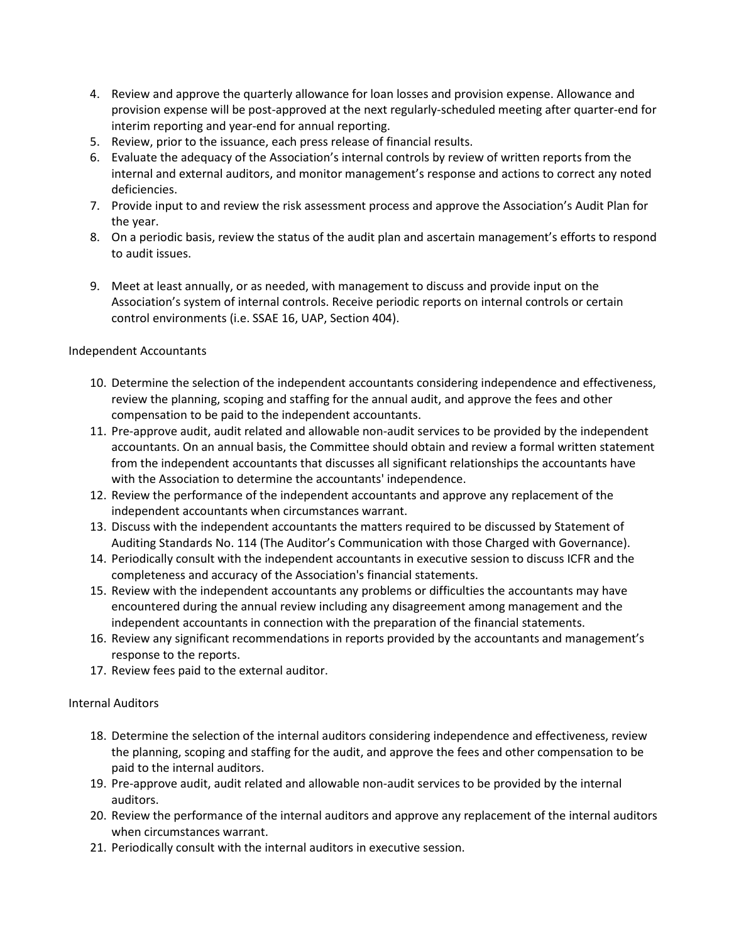- 4. Review and approve the quarterly allowance for loan losses and provision expense. Allowance and provision expense will be post-approved at the next regularly-scheduled meeting after quarter-end for interim reporting and year-end for annual reporting.
- 5. Review, prior to the issuance, each press release of financial results.
- 6. Evaluate the adequacy of the Association's internal controls by review of written reports from the internal and external auditors, and monitor management's response and actions to correct any noted deficiencies.
- 7. Provide input to and review the risk assessment process and approve the Association's Audit Plan for the year.
- 8. On a periodic basis, review the status of the audit plan and ascertain management's efforts to respond to audit issues.
- 9. Meet at least annually, or as needed, with management to discuss and provide input on the Association's system of internal controls. Receive periodic reports on internal controls or certain control environments (i.e. SSAE 16, UAP, Section 404).

## Independent Accountants

- 10. Determine the selection of the independent accountants considering independence and effectiveness, review the planning, scoping and staffing for the annual audit, and approve the fees and other compensation to be paid to the independent accountants.
- 11. Pre-approve audit, audit related and allowable non-audit services to be provided by the independent accountants. On an annual basis, the Committee should obtain and review a formal written statement from the independent accountants that discusses all significant relationships the accountants have with the Association to determine the accountants' independence.
- 12. Review the performance of the independent accountants and approve any replacement of the independent accountants when circumstances warrant.
- 13. Discuss with the independent accountants the matters required to be discussed by Statement of Auditing Standards No. 114 (The Auditor's Communication with those Charged with Governance).
- 14. Periodically consult with the independent accountants in executive session to discuss ICFR and the completeness and accuracy of the Association's financial statements.
- 15. Review with the independent accountants any problems or difficulties the accountants may have encountered during the annual review including any disagreement among management and the independent accountants in connection with the preparation of the financial statements.
- 16. Review any significant recommendations in reports provided by the accountants and management's response to the reports.
- 17. Review fees paid to the external auditor.

## Internal Auditors

- 18. Determine the selection of the internal auditors considering independence and effectiveness, review the planning, scoping and staffing for the audit, and approve the fees and other compensation to be paid to the internal auditors.
- 19. Pre-approve audit, audit related and allowable non-audit services to be provided by the internal auditors.
- 20. Review the performance of the internal auditors and approve any replacement of the internal auditors when circumstances warrant.
- 21. Periodically consult with the internal auditors in executive session.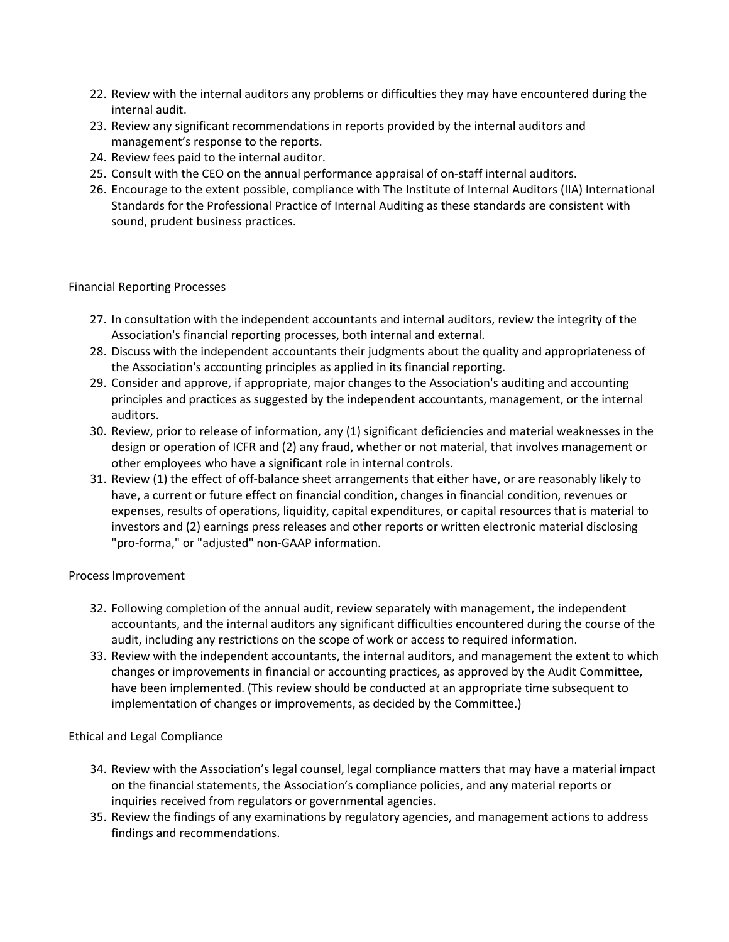- 22. Review with the internal auditors any problems or difficulties they may have encountered during the internal audit.
- 23. Review any significant recommendations in reports provided by the internal auditors and management's response to the reports.
- 24. Review fees paid to the internal auditor.
- 25. Consult with the CEO on the annual performance appraisal of on-staff internal auditors.
- 26. Encourage to the extent possible, compliance with The Institute of Internal Auditors (IIA) International Standards for the Professional Practice of Internal Auditing as these standards are consistent with sound, prudent business practices.

#### Financial Reporting Processes

- 27. In consultation with the independent accountants and internal auditors, review the integrity of the Association's financial reporting processes, both internal and external.
- 28. Discuss with the independent accountants their judgments about the quality and appropriateness of the Association's accounting principles as applied in its financial reporting.
- 29. Consider and approve, if appropriate, major changes to the Association's auditing and accounting principles and practices as suggested by the independent accountants, management, or the internal auditors.
- 30. Review, prior to release of information, any (1) significant deficiencies and material weaknesses in the design or operation of ICFR and (2) any fraud, whether or not material, that involves management or other employees who have a significant role in internal controls.
- 31. Review (1) the effect of off-balance sheet arrangements that either have, or are reasonably likely to have, a current or future effect on financial condition, changes in financial condition, revenues or expenses, results of operations, liquidity, capital expenditures, or capital resources that is material to investors and (2) earnings press releases and other reports or written electronic material disclosing "pro-forma," or "adjusted" non-GAAP information.

## Process Improvement

- 32. Following completion of the annual audit, review separately with management, the independent accountants, and the internal auditors any significant difficulties encountered during the course of the audit, including any restrictions on the scope of work or access to required information.
- 33. Review with the independent accountants, the internal auditors, and management the extent to which changes or improvements in financial or accounting practices, as approved by the Audit Committee, have been implemented. (This review should be conducted at an appropriate time subsequent to implementation of changes or improvements, as decided by the Committee.)

## Ethical and Legal Compliance

- 34. Review with the Association's legal counsel, legal compliance matters that may have a material impact on the financial statements, the Association's compliance policies, and any material reports or inquiries received from regulators or governmental agencies.
- 35. Review the findings of any examinations by regulatory agencies, and management actions to address findings and recommendations.